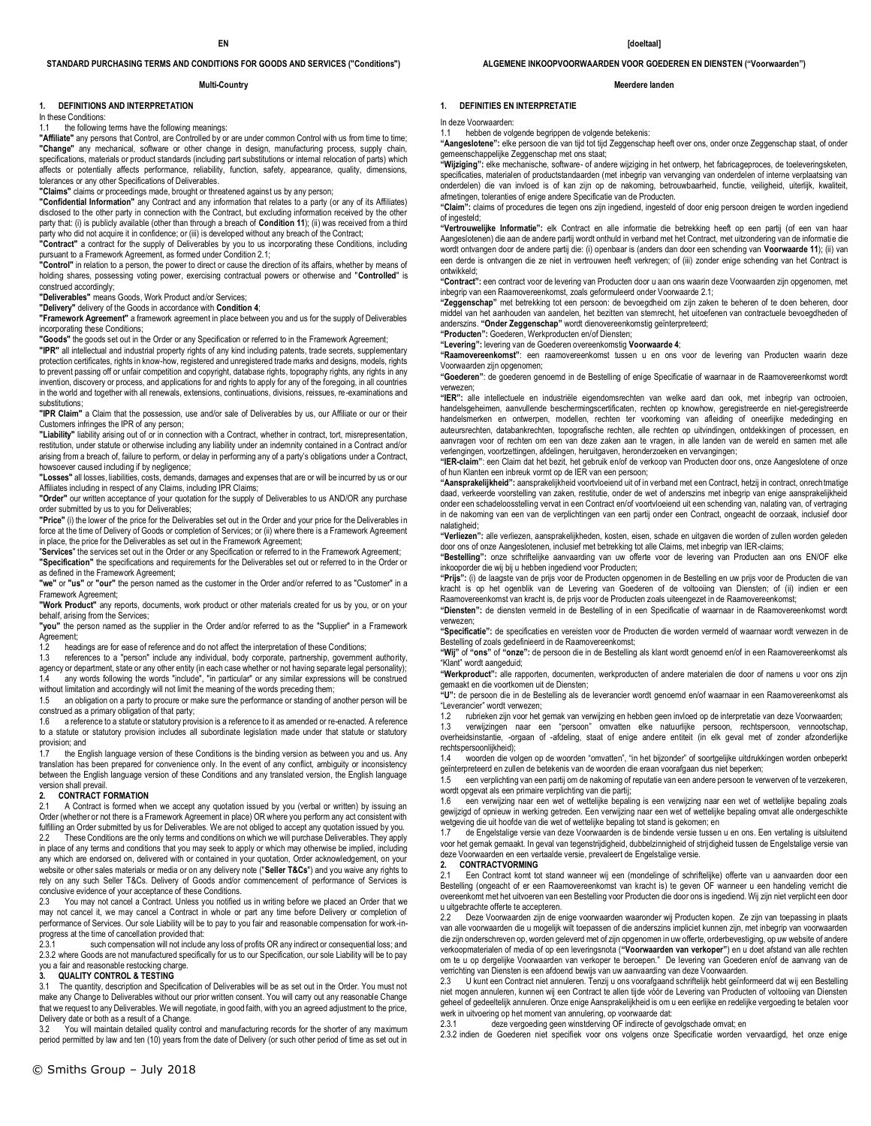### **STANDARD PURCHASING TERMS AND CONDITIONS FOR GOODS AND SERVICES ("Conditions")**

#### **Multi-Country**

### **1. DEFINITIONS AND INTERPRETATION**

In these Conditions:

### 1.1 the following terms have the following meanings:

**"Affiliate"** any persons that Control, are Controlled by or are under common Control with us from time to time; **"Change"** any mechanical, software or other change in design, manufacturing process, supply chain, specifications, materials or product standards (including part substitutions or internal relocation of parts) which affects or potentially affects performance, reliability, function, safety, appearance, quality, dimensions, tolerances or any other Specifications of Deliverables.

**"Claims"** claims or proceedings made, brought or threatened against us by any person;

**"Confidential Information"** any Contract and any information that relates to a party (or any of its Affiliates) disclosed to the other party in connection with the Contract, but excluding information received by the other party that: (i) is publicly available (other than through a breach of **Condition 11**); (ii) was received from a third party who did not acquire it in confidence; or (iii) is developed without any breach of the Contract;

**"Contract"** a contract for the supply of Deliverables by you to us incorporating these Conditions, including pursuant to a Framework Agreement, as formed under Condition 2.1;

**"Control"** in relation to a person, the power to direct or cause the direction of its affairs, whether by means of holding shares, possessing voting power, exercising contractual powers or otherwise and "**Controlled**" is construed accordingly;

**"Deliverables"** means Goods, Work Product and/or Services;

**"Delivery"** delivery of the Goods in accordance with **Condition 4**;

**"Framework Agreement"** a framework agreement in place between you and us for the supply of Deliverables incorporating these Conditions;

**"Goods"** the goods set out in the Order or any Specification or referred to in the Framework Agreement;

**"IPR"** all intellectual and industrial property rights of any kind including patents, trade secrets, supplementary protection certificates, rights in know-how, registered and unregistered trade marks and designs, models, rights .<br>to prevent passing off or unfair competition and copyright, database rights, topography rights, any rights in any invention, discovery or process, and applications for and rights to apply for any of the foregoing, in all countries in the world and together with all renewals, extensions, continuations, divisions, reissues, re-examinations and substitutions:

**"IPR Claim"** a Claim that the possession, use and/or sale of Deliverables by us, our Affiliate or our or their Customers infringes the IPR of any person;

**"Liability"** liability arising out of or in connection with a Contract, whether in contract, tort, misrepresentation, restitution, under statute or otherwise including any liability under an indemnity contained in a Contract and/or arising from a breach of, failure to perform, or delay in performing any of a party's obligations under a Contract, howsoever caused including if by negligence;

**"Losses"** all losses, liabilities, costs, demands, damages and expenses that are or will be incurred by us or our Affiliates including in respect of any Claims, including IPR Claims;

**"Order"** our written acceptance of your quotation for the supply of Deliverables to us AND/OR any purchase order submitted by us to you for Deliverables;

**"Price"** (i) the lower of the price for the Deliverables set out in the Order and your price for the Deliverables in force at the time of Delivery of Goods or completion of Services; or (ii) where there is a Framework Agreement in place, the price for the Deliverables as set out in the Framework Agreement;

"**Services**" the services set out in the Order or any Specification or referred to in the Framework Agreement; **"Specification"** the specifications and requirements for the Deliverables set out or referred to in the Order or

as defined in the Framework Agreement; **"we"** or **"us"** or **"our"** the person named as the customer in the Order and/or referred to as "Customer" in a

Framework Agreement; **"Work Product"** any reports, documents, work product or other materials created for us by you, or on your behalf, arising from the Services;

**"you"** the person named as the supplier in the Order and/or referred to as the "Supplier" in a Framework Agreement;

1.2 headings are for ease of reference and do not affect the interpretation of these Conditions;

1.3 references to a "person" include any individual, body corporate, partnership, government authority, agency or department, state or any other entity (in each case whether or not having separate legal personality); any words following the words "include", "in particular" or any similar expressions will be construed

without limitation and accordingly will not limit the meaning of the words preceding them; 1.5 an obligation on a party to procure or make sure the performance or standing of another person will be

construed as a primary obligation of that party; 1.6 a reference to a statute or statutory provision is a reference to it as amended or re-enacted. A reference to a statute or statutory provision includes all subordinate legislation made under that statute or statutory provision; and

1.7 the English language version of these Conditions is the binding version as between you and us. Any translation has been prepared for convenience only. In the event of any conflict, ambiguity or inconsistency between the English language version of these Conditions and any translated version, the English language version shall prevail.<br>2. **CONTRACT F** 

### **2. CONTRACT FORMATION**

2.1 A Contract is formed when we accept any quotation issued by you (verbal or written) by issuing an Order (whether or not there is a Framework Agreement in place) OR where you perform any act consistent with fulfilling an Order submitted by us for Deliverables. We are not obliged to accept any quotation issued by you.

2.2 These Conditions are the only terms and conditions on which we will purchase Deliverables. They apply in place of any terms and conditions that you may seek to apply or which may otherwise be implied, including any which are endorsed on, delivered with or contained in your quotation, Order acknowledgement, on your website or other sales materials or media or on any delivery note ("**Seller T&Cs**") and you waive any rights to rely on any such Seller T&Cs. Delivery of Goods and/or commencement of performance of Services is conclusive evidence of your acceptance of these Conditions.

2.3 You may not cancel a Contract. Unless you notified us in writing before we placed an Order that we may not cancel it, we may cancel a Contract in whole or part any time before Delivery or completion of performance of Services. Our sole Liability will be to pay to you fair and reasonable compensation for work-inprogress at the time of cancellation provided that:<br>2.3.1 such compensation will not include

such compensation will not include any loss of profits OR any indirect or consequential loss; and 2.3.2 where Goods are not manufactured specifically for us to our Specification, our sole Liability will be to pay you a fair and reasonable restocking charge.

#### **3. QUALITY CONTROL & TESTING**

3.1 The quantity, description and Specification of Deliverables will be as set out in the Order. You must not make any Change to Deliverables without our prior written consent. You will carry out any reasonable Change that we request to any Deliverables. We will negotiate, in good faith, with you an agreed adjustment to the price, Delivery date or both as a result of a Change.

.<br>You will maintain detailed quality control and manufacturing records for the shorter of any maximum period permitted by law and ten (10) years from the date of Delivery (or such other period of time as set out in

### **ALGEMENE INKOOPVOORWAARDEN VOOR GOEDEREN EN DIENSTEN ("Voorwaarden")**

#### **Meerdere landen**

### **1. DEFINITIES EN INTERPRETATIE**

In deze Voorwaarden:

1.1 hebben de volgende begrippen de volgende betekenis: **"Aangeslotene":** elke persoon die van tijd tot tijd Zeggenschap heeft over ons, onder onze Zeggenschap staat, of onder gemeenschappelijke Zeggenschap met ons staat;

**"Wijziging":** elke mechanische, software- of andere wijziging in het ontwerp, het fabricageproces, de toeleveringsketen, specificaties, materialen of productstandaarden (met inbegrip van vervanging van onderdelen of interne verplaatsing van onderdelen) die van invloed is of kan zijn op de nakoming, betrouwbaarheid, functie, veiligheid, uiterlijk, kwaliteit, afmetingen, toleranties of enige andere Specificatie van de Producten.

**"Claim":** claims of procedures die tegen ons zijn ingediend, ingesteld of door enig persoon dreigen te worden ingediend of ingesteld;

**"Vertrouwelijke Informatie":** elk Contract en alle informatie die betrekking heeft op een partij (of een van haar Aangeslotenen) die aan de andere partij wordt onthuld in verband met het Contract, met uitzondering van de informatie die wordt ontvangen door de andere partij die: (i) openbaar is (anders dan door een schending van **Voorwaarde 11**); (ii) van een derde is ontvangen die ze niet in vertrouwen heeft verkregen; of (iii) zonder enige schending van het Contract is ontwikkeld;

**"Contract":** een contract voor de levering van Producten door u aan ons waarin deze Voorwaarden zijn opgenomen, met inbegrip van een Raamovereenkomst, zoals geformuleerd onder Voorwaarde 2.1;

**"Zeggenschap"** met betrekking tot een persoon: de bevoegdheid om zijn zaken te beheren of te doen beheren, door middel van het aanhouden van aandelen, het bezitten van stemrecht, het uitoefenen van contractuele bevoegdheden of anderszins. **"Onder Zeggenschap"** wordt dienovereenkomstig geïnterpreteerd;

**"Producten":** Goederen, Werkproducten en/of Diensten;

**"Levering":** levering van de Goederen overeenkomstig **Voorwaarde 4**;

**"Raamovereenkomst"**: een raamovereenkomst tussen u en ons voor de levering van Producten waarin deze Voorwaarden zijn opgenomen;

**"Goederen"**: de goederen genoemd in de Bestelling of enige Specificatie of waarnaar in de Raamovereenkomst wordt verwezen;

**"IER":** alle intellectuele en industriële eigendomsrechten van welke aard dan ook, met inbegrip van octrooien, handelsgeheimen, aanvullende beschermingscertificaten, rechten op knowhow, geregistreerde en niet-geregistreerde handelsmerken en ontwerpen, modellen, rechten ter voorkoming van afleiding of oneerlijke mededinging en auteursrechten, databankrechten, topografische rechten, alle rechten op uitvindingen, ontdekkingen of processen, en aanvragen voor of rechten om een van deze zaken aan te vragen, in alle landen van de wereld en samen met alle verlengingen, voortzettingen, afdelingen, heruitgaven, heronderzoeken en vervangingen;

**"IER-claim"**: een Claim dat het bezit, het gebruik en/of de verkoop van Producten door ons, onze Aangeslotene of onze of hun Klanten een inbreuk vormt op de IER van een persoon;

**"Aansprakelijkheid":** aansprakelijkheid voortvloeiend uit of in verband met een Contract, hetzij in contract, onrechtmatige daad, verkeerde voorstelling van zaken, restitutie, onder de wet of anderszins met inbegrip van enige aansprakelijkheid onder een schadeloosstelling vervat in een Contract en/of voortvloeiend uit een schending van, nalating van, of vertraging in de nakoming van een van de verplichtingen van een partij onder een Contract, ongeacht de oorzaak, inclusief door nalatigheid;

**"Verliezen":** alle verliezen, aansprakelijkheden, kosten, eisen, schade en uitgaven die worden of zullen worden geleden door ons of onze Aangeslotenen, inclusief met betrekking tot alle Claims, met inbegrip van IER-claims;

**"Bestelling":** onze schriftelijke aanvaarding van uw offerte voor de levering van Producten aan ons EN/OF elke inkooporder die wij bij u hebben ingediend voor Producten;

**"Prijs":** (i) de laagste van de prijs voor de Producten opgenomen in de Bestelling en uw prijs voor de Producten die van kracht is op het ogenblik van de Levering van Goederen of de voltooiing van Diensten; of (ii) indien er een Raamovereenkomst van kracht is, de prijs voor de Producten zoals uiteengezet in de Raamovereenkomst;

**"Diensten":** de diensten vermeld in de Bestelling of in een Specificatie of waarnaar in de Raamovereenkomst wordt verwezen;

**"Specificatie":** de specificaties en vereisten voor de Producten die worden vermeld of waarnaar wordt verwezen in de Bestelling of zoals gedefinieerd in de Raamovereenkomst;

**"Wij"** of **"ons"** of **"onze":** de persoon die in de Bestelling als klant wordt genoemd en/of in een Raamovereenkomst als "Klant" wordt aangeduid;

**"Werkproduct":** alle rapporten, documenten, werkproducten of andere materialen die door of namens u voor ons zijn gemaakt en die voortkomen uit de Diensten;

**"U":** de persoon die in de Bestelling als de leverancier wordt genoemd en/of waarnaar in een Raamovereenkomst als "Leverancier" wordt verwezen;<br>12 muhrieken zijn voor het

1.2 rubrieken zijn voor het gemak van verwijzing en hebben geen invloed op de interpretatie van deze Voorwaarden;

1.3 verwijzingen naar een "persoon" omvatten elke natuurlijke persoon, rechtspersoon, vennootschap, overheidsinstantie, -orgaan of -afdeling, staat of enige andere entiteit (in elk geval met of zonder afzonderlijke rechtspersoonlijkheid);

1.4 woorden die volgen op de woorden "omvatten", "in het bijzonder" of soortgelijke uitdrukkingen worden onbeperkt geïnterpreteerd en zullen de betekenis van de woorden die eraan voorafgaan dus niet beperken;<br>15 een verplichting van een partij om de nakoming of reputatie van een andere persoon te ver

een verplichting van een partij om de nakoming of reputatie van een andere persoon te verwerven of te verzekeren, wordt opgevat als een primaire verplichting van die partij;

1.6 een verwijzing naar een wet of wettelijke bepaling is een verwijzing naar een wet of wettelijke bepaling zoals gewijzigd of opnieuw in werking getreden. Een verwijzing naar een wet of wettelijke bepaling omvat alle ondergeschikte wetgeving die uit hoofde van die wet of wettelijke bepaling tot stand is gekomen; en

1.7 de Engelstalige versie van deze Voorwaarden is de bindende versie tussen u en ons. Een vertaling is uitsluitend voor het gemak gemaakt. In geval van tegenstrijdigheid, dubbelzinnigheid of strijdigheid tussen de Engelstalige versie van deze Voorwaarden en een vertaalde versie, prevaleert de Engelstalige versie.

### **2. CONTRACTVORMING**

2.1 Een Contract komt tot stand wanneer wij een (mondelinge of schriftelijke) offerte van u aanvaarden door een Bestelling (ongeacht of er een Raamovereenkomst van kracht is) te geven OF wanneer u een handeling verricht die overeenkomt met het uitvoeren van een Bestelling voor Producten die door ons is ingediend. Wij zijn niet verplicht een door u uitgebrachte offerte te accepteren.

2.2 Deze Voorwaarden zijn de enige voorwaarden waaronder wij Producten kopen. Ze zijn van toepassing in plaats van alle voorwaarden die u mogelijk wilt toepassen of die anderszins impliciet kunnen zijn, met inbegrip van voorwaarden die zijn onderschreven op, worden geleverd met of zijn opgenomen in uw offerte, orderbevestiging, op uw website of andere verkoopmaterialen of media of op een leveringsnota (**"Voorwaarden van verkoper"**) en u doet afstand van alle rechten om te u op dergelijke Voorwaarden van verkoper te beroepen." De levering van Goederen en/of de aanvang van de

verrichting van Diensten is een afdoend bewijs van uw aanvaarding van deze Voorwaarden. 2.3 U kunt een Contract niet annuleren. Tenzij u ons voorafgaand schriftelijk hebt geïnformeerd dat wij een Bestelling niet mogen annuleren, kunnen wij een Contract te allen tijde vóór de Levering van Producten of voltooiing van Diensten geheel of gedeeltelijk annuleren. Onze enige Aansprakelijkheid is om u een eerlijke en redelijke vergoeding te betalen voor werk in uitvoering op het moment van annulering, op voorwaarde dat:

2.3.1 deze vergoeding geen winstderving OF indirecte of gevolgschade omvat; en

2.3.2 indien de Goederen niet specifiek voor ons volgens onze Specificatie worden vervaardigd, het onze enige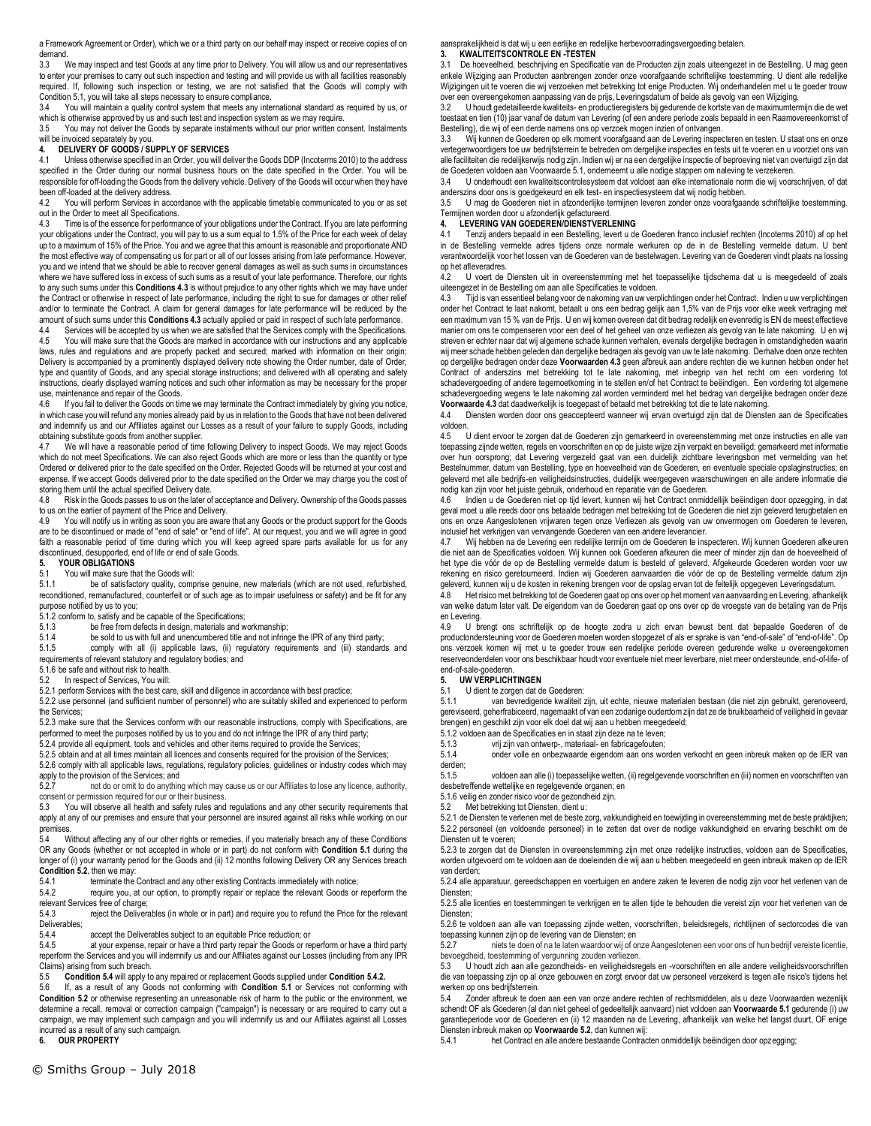a Framework Agreement or Order), which we or a third party on our behalf may inspect or receive copies of on demand.

3.3 We may inspect and test Goods at any time prior to Delivery. You will allow us and our representatives to enter your premises to carry out such inspection and testing and will provide us with all facilities reasonably required. If, following such inspection or testing, we are not satisfied that the Goods will comply with Condition 5.1, you will take all steps necessary to ensure compliance.

3.4 You will maintain a quality control system that meets any international standard as required by us, or which is otherwise approved by us and such test and inspection system as we may require.

3.5 You may not deliver the Goods by separate instalments without our prior written consent. Instalments will be invoiced separately by you.

### **4. DELIVERY OF GOODS / SUPPLY OF SERVICES**

4.1 Unless otherwise specified in an Order, you will deliver the Goods DDP (Incoterms 2010) to the address specified in the Order during our normal business hours on the date specified in the Order. You will be responsible for off-loading the Goods from the delivery vehicle. Delivery of the Goods will occur when they have been off-loaded at the delivery address.

4.2 You will perform Services in accordance with the applicable timetable communicated to you or as set out in the Order to meet all Specifications.

4.3 Time is of the essence for performance of your obligations under the Contract. If you are late performing your obligations under the Contract, you will pay to us a sum equal to 1.5% of the Price for each week of delay up to a maximum of 15% of the Price. You and we agree that this amount is reasonable and proportionate AND the most effective way of compensating us for part or all of our losses arising from late performance. However, you and we intend that we should be able to recover general damages as well as such sums in circumstances where we have suffered loss in excess of such sums as a result of your late performance. Therefore, our rights to any such sums under this **Conditions 4.3** is without prejudice to any other rights which we may have under the Contract or otherwise in respect of late performance, including the right to sue for damages or other relief and/or to terminate the Contract. A claim for general damages for late performance will be reduced by the amount of such sums under this **Conditions 4.3** actually applied or paid in respect of such late performance.

4.4 Services will be accepted by us when we are satisfied that the Services comply with the Specifications.<br>4.5 You will make sure that the Goods are marked in accordance with our instructions and any applicable You will make sure that the Goods are marked in accordance with our instructions and any applicable laws, rules and regulations and are properly packed and secured; marked with information on their origin; Delivery is accompanied by a prominently displayed delivery note showing the Order number, date of Order, type and quantity of Goods, and any special storage instructions; and delivered with all operating and safety instructions, clearly displayed warning notices and such other information as may be necessary for the proper use, maintenance and repair of the Goods.<br>4.6 If you fail to deliver the Goods on tir

If you fail to deliver the Goods on time we may terminate the Contract immediately by giving you notice, in which case you will refund any monies already paid by us in relation to the Goods that have not been delivered and indemnify us and our Affiliates against our Losses as a result of your failure to supply Goods, including obtaining substitute goods from another supplier.<br>4.7 We will have a reasonable period of time

We will have a reasonable period of time following Delivery to inspect Goods. We may reject Goods which do not meet Specifications. We can also reject Goods which are more or less than the quantity or type Ordered or delivered prior to the date specified on the Order. Rejected Goods will be returned at your cost and expense. If we accept Goods delivered prior to the date specified on the Order we may charge you the cost of storing them until the actual specified Delivery date.

4.8 Risk in the Goods passes to us on the later of acceptance and Delivery. Ownership of the Goods passes to us on the earlier of payment of the Price and Delivery.<br>4.9 You will notify us in writing as soon you are aware

You will notify us in writing as soon you are aware that any Goods or the product support for the Goods are to be discontinued or made of "end of sale" or "end of life". At our request, you and we will agree in good faith a reasonable period of time during which you will keep agreed spare parts available for us for any discontinued, desupported, end of life or end of sale Goods.

## **5. YOUR OBLIGATIONS**

### 5.1 You will make sure that the Goods will:

5.1.1 be of satisfactory quality, comprise genuine, new materials (which are not used, refurbished, reconditioned, remanufactured, counterfeit or of such age as to impair usefulness or safety) and be fit for any purpose notified by us to you;

5.1.2 conform to, satisfy and be capable of the Specifications;<br>5.1.3 be free from defects in design. materials and w

be free from defects in design, materials and workmanship;

5.1.4 be sold to us with full and unencumbered title and not infringe the IPR of any third party;

5.1.5 comply with all (i) applicable laws, (ii) regulatory requirements and (iii) standards and

requirements of relevant statutory and regulatory bodies; and

5.1.6 be safe and without risk to health.

5.2 In respect of Services, You will:

5.2.1 perform Services with the best care, skill and diligence in accordance with best practice;

5.2.2 use personnel (and sufficient number of personnel) who are suitably skilled and experienced to perform the Services;

5.2.3 make sure that the Services conform with our reasonable instructions, comply with Specifications, are performed to meet the purposes notified by us to you and do not infringe the IPR of any third party;

5.2.4 provide all equipment, tools and vehicles and other items required to provide the Services; 5.2.5 obtain and at all times maintain all licences and consents required for the provision of the Services;

5.2.6 comply with all applicable laws, regulations, regulatory policies, guidelines or industry codes which may

apply to the provision of the Services; and<br>5.2.7 pot do or omit to do anything not do or omit to do anything which may cause us or our Affiliates to lose any licence, authority,

consent or permission required for our or their business.<br>5.3 You will observe all health and safety rules and You will observe all health and safety rules and regulations and any other security requirements that

apply at any of our premises and ensure that your personnel are insured against all risks while working on our premises.

5.4 Without affecting any of our other rights or remedies, if you materially breach any of these Conditions OR any Goods (whether or not accepted in whole or in part) do not conform with **Condition 5.1** during the longer of (i) your warranty period for the Goods and (ii) 12 months following Delivery OR any Services breach **Condition 5.2**, then we may:<br>5.4.1 terminate the

5.4.1 terminate the Contract and any other existing Contracts immediately with notice;<br>5.4.2 require you, at our option, to promptly repair or replace the relevant Goods or

require you, at our option, to promptly repair or replace the relevant Goods or reperform the relevant Services free of charge;

5.4.3 reject the Deliverables (in whole or in part) and require you to refund the Price for the relevant Deliverables;<br>5.4.4

5.4.4 accept the Deliverables subject to an equitable Price reduction; or 5.4.5 at your expense, repair or have a third party repair the Goods or re

at your expense, repair or have a third party repair the Goods or reperform or have a third party reperform the Services and you will indemnify us and our Affiliates against our Losses (including from any IPR Claims) arising from such breach.<br>5.5 Condition 5.4 will apply to

5.5 **Condition 5.4** will apply to any repaired or replacement Goods supplied under **Condition 5.4.2.**

5.6 If, as a result of any Goods not conforming with **Condition 5.1** or Services not conforming with Condition 5.2 or otherwise representing an unreasonable risk of harm to the public or the environment, we determine a recall, removal or correction campaign ("campaign") is necessary or are required to carry out a campaign, we may implement such campaign and you will indemnify us and our Affiliates against all Losses incurred as a result of any such campaign.

**6. OUR PROPERTY**

# aansprakelijkheid is dat wij u een eerlijke en redelijke herbevoorradingsvergoeding betalen.

## **3. KWALITEITSCONTROLE EN -TESTEN**

3.1 De hoeveelheid, beschrijving en Specificatie van de Producten zijn zoals uiteengezet in de Bestelling. U mag geen enkele Wijziging aan Producten aanbrengen zonder onze voorafgaande schriftelijke toestemming. U dient alle redelijke Wijzigingen uit te voeren die wij verzoeken met betrekking tot enige Producten. Wij onderhandelen met u te goeder trouw over een overeengekomen aanpassing van de prijs, Leveringsdatum of beide als gevolg van een Wijziging.

3.2 U houdt gedetailleerde kwaliteits- en productieregisters bij gedurende de kortste van de maximumtermijn die de wet toestaat en tien (10) jaar vanaf de datum van Levering (of een andere periode zoals bepaald in een Raamovereenkomst of Bestelling), die wij of een derde namens ons op verzoek mogen inzien of ontvangen.

3.3 Wij kunnen de Goederen op elk moment voorafgaand aan de Levering inspecteren en testen. U staat ons en onze vertegenwoordigers toe uw bedrijfsterrein te betreden om dergelijke inspecties en tests uit te voeren en u voorziet ons van alle faciliteiten die redelijkerwijs nodig zijn. Indien wij er na een dergelijke inspectie of beproeving niet van overtuigd zijn dat de Goederen voldoen aan Voorwaarde 5.1, onderneemt u alle nodige stappen om naleving te verzekeren.

3.4 U onderhoudt een kwaliteitscontrolesysteem dat voldoet aan elke internationale norm die wij voorschrijven, of dat anderszins door ons is goedgekeurd en elk test- en inspectiesysteem dat wij nodig hebben.

U mag de Goederen niet in afzonderlijke termijnen leveren zonder onze voorafgaande schriftelijke toestemming. Termijnen worden door u afzonderlijk gefactureerd.

#### **4. LEVERING VAN GOEDEREN/DIENSTVERLENING**

4.1 Tenzij anders bepaald in een Bestelling, levert u de Goederen franco inclusief rechten (Incoterms 2010) af op het in de Bestelling vermelde adres tijdens onze normale werkuren op de in de Bestelling vermelde datum. U bent verantwoordelijk voor het lossen van de Goederen van de bestelwagen. Levering van de Goederen vindt plaats na lossing op het afleveradres.

4.2 U voert de Diensten uit in overeenstemming met het toepasselijke tijdschema dat u is meegedeeld of zoals uiteengezet in de Bestelling om aan alle Specificaties te voldoen.

4.3 Tijd is van essentieel belang voor de nakoming van uw verplichtingen onder het Contract. Indien u uw verplichtingen onder het Contract te laat nakomt, betaalt u ons een bedrag gelijk aan 1,5% van de Prijs voor elke week vertraging met een maximum van 15 % van de Prijs. U en wij komen overeen dat dit bedrag redelijk en evenredig is EN de meest effectieve manier om ons te compenseren voor een deel of het geheel van onze verliezen als gevolg van te late nakoming. U en wij streven er echter naar dat wij algemene schade kunnen verhalen, evenals dergelijke bedragen in omstandigheden waarin wij meer schade hebben geleden dan dergelijke bedragen als gevolg van uw te late nakoming. Derhalve doen onze rechten op dergelijke bedragen onder deze **Voorwaarden 4.3** geen afbreuk aan andere rechten die we kunnen hebben onder het Contract of anderszins met betrekking tot te late nakoming, met inbegrip van het recht om een vordering tot schadevergoeding of andere tegemoetkoming in te stellen en/of het Contract te beëindigen. Een vordering tot algemene schadevergoeding wegens te late nakoming zal worden verminderd met het bedrag van dergelijke bedragen onder deze **Voorwaarde 4.3** dat daadwerkelijk is toegepast of betaald met betrekking tot die te late nakoming.

4.4 Diensten worden door ons geaccepteerd wanneer wij ervan overtuigd zijn dat de Diensten aan de Specificaties voldoen.

4.5 U dient ervoor te zorgen dat de Goederen zijn gemarkeerd in overeenstemming met onze instructies en alle van toepassing zijnde wetten, regels en voorschriften en op de juiste wijze zijn verpakt en beveiligd; gemarkeerd met informatie over hun oorsprong; dat Levering vergezeld gaat van een duidelijk zichtbare leveringsbon met vermelding van het Bestelnummer, datum van Bestelling, type en hoeveelheid van de Goederen, en eventuele speciale opslaginstructies; en geleverd met alle bedrijfs-en veiligheidsinstructies, duidelijk weergegeven waarschuwingen en alle andere informatie die nodig kan zijn voor het juiste gebruik, onderhoud en reparatie van de Goederen.

4.6 Indien u de Goederen niet op tijd levert, kunnen wij het Contract onmiddellijk beëindigen door opzegging, in dat geval moet u alle reeds door ons betaalde bedragen met betrekking tot de Goederen die niet zijn geleverd terugbetalen en ons en onze Aangeslotenen vrijwaren tegen onze Verliezen als gevolg van uw onvermogen om Goederen te leveren, inclusief het verkrijgen van vervangende Goederen van een andere leverancier.

4.7 Wij hebben na de Levering een redelijke termijn om de Goederen te inspecteren. Wij kunnen Goederen afkeuren die niet aan de Specificaties voldoen. Wij kunnen ook Goederen afkeuren die meer of minder zijn dan de hoeveelheid of het type die vóór de op de Bestelling vermelde datum is besteld of geleverd. Afgekeurde Goederen worden voor uw rekening en risico geretourneerd. Indien wij Goederen aanvaarden die vóór de op de Bestelling vermelde datum zijn geleverd, kunnen wij u de kosten in rekening brengen voor de opslag ervan tot de feitelijk opgegeven Leveringsdatum.

4.8 Het risico met betrekking tot de Goederen gaat op ons over op het moment van aanvaarding en Levering, afhankelijk van welke datum later valt. De eigendom van de Goederen gaat op ons over op de vroegste van de betaling van de Prijs en Levering.

4.9 U brengt ons schriftelijk op de hoogte zodra u zich ervan bewust bent dat bepaalde Goederen of de productondersteuning voor de Goederen moeten worden stopgezet of als er sprake is van "end-of-sale" of "end-of-life". Op ons verzoek komen wij met u te goeder trouw een redelijke periode overeen gedurende welke u overeengekomen reserveonderdelen voor ons beschikbaar houdt voor eventuele niet meer leverbare, niet meer ondersteunde, end-of-life- of end-of-sale-goederen.

# **5. UW VERPLICHTINGEN**

5.1 U dient te zorgen dat de Goederen:<br>5.1.1 van bevredigende kwaliteit z

van bevredigende kwaliteit zijn, uit echte, nieuwe materialen bestaan (die niet zijn gebruikt, gerenoveerd, gereviseerd, geherfrabiceerd, nagemaakt of van een zodanige ouderdom zijn dat ze de bruikbaarheid of veiligheid in gevaar brengen) en geschikt zijn voor elk doel dat wij aan u hebben meegedeeld;

5.1.2 voldoen aan de Specificaties en in staat zijn deze na te leven;

5.1.3 vrij zijn van ontwerp-, materiaal- en fabricagefouten;

5.1.4 onder volle en onbezwaarde eigendom aan ons worden verkocht en geen inbreuk maken op de IER van derden;<br>5.1.5

voldoen aan alle (i) toepasselijke wetten, (ii) regelgevende voorschriften en (iii) normen en voorschriften van desbetreffende wettelijke en regelgevende organen; en

5.1.6 veilig en zonder risico voor de gezondheid zijn.

5.2 Met betrekking tot Diensten, dient u:

5.2.1 de Diensten te verlenen met de beste zorg, vakkundigheid en toewijding in overeenstemming met de beste praktijken; 5.2.2 personeel (en voldoende personeel) in te zetten dat over de nodige vakkundigheid en ervaring beschikt om de Diensten uit te voeren;

5.2.3 te zorgen dat de Diensten in overeenstemming zijn met onze redelijke instructies, voldoen aan de Specificaties, worden uitgevoerd om te voldoen aan de doeleinden die wij aan u hebben meegedeeld en geen inbreuk maken op de IER van derden;

5.2.4 alle apparatuur, gereedschappen en voertuigen en andere zaken te leveren die nodig zijn voor het verlenen van de Diensten;

5.2.5 alle licenties en toestemmingen te verkrijgen en te allen tijde te behouden die vereist zijn voor het verlenen van de Diensten;

5.2.6 te voldoen aan alle van toepassing zijnde wetten, voorschriften, beleidsregels, richtlijnen of sectorcodes die van toepassing kunnen zijn op de levering van de Diensten; en<br>5.2.7 niets te doen of na te laten waardoor wij of o

5.2.7 niets te doen of na te laten waardoor wij of onze Aangeslotenen een voor ons of hun bedrijf vereiste licentie, bevoegdheid, toestemming of vergunning zouden verliezen.<br>5.3. LL boudt zich aan alle gezondheids- en veiligheidsre

5.3 U houdt zich aan alle gezondheids- en veiligheidsregels en -voorschriften en alle andere veiligheidsvoorschriften die van toepassing zijn op al onze gebouwen en zorgt ervoor dat uw personeel verzekerd is tegen alle risico's tijdens het werken op ons bedrijfsterrein.<br>54 - Zonder afbreuk te doe

Zonder afbreuk te doen aan een van onze andere rechten of rechtsmiddelen, als u deze Voorwaarden wezenlijk schendt OF als Goederen (al dan niet geheel of gedeeltelijk aanvaard) niet voldoen aan **Voorwaarde 5.1** gedurende (i) uw garantieperiode voor de Goederen en (ii) 12 maanden na de Levering, afhankelijk van welke het langst duurt, OF enige Diensten inbreuk maken op **Voorwaarde 5.2**, dan kunnen wij:

5.4.1 het Contract en alle andere bestaande Contracten onmiddellijk beëindigen door opzegging;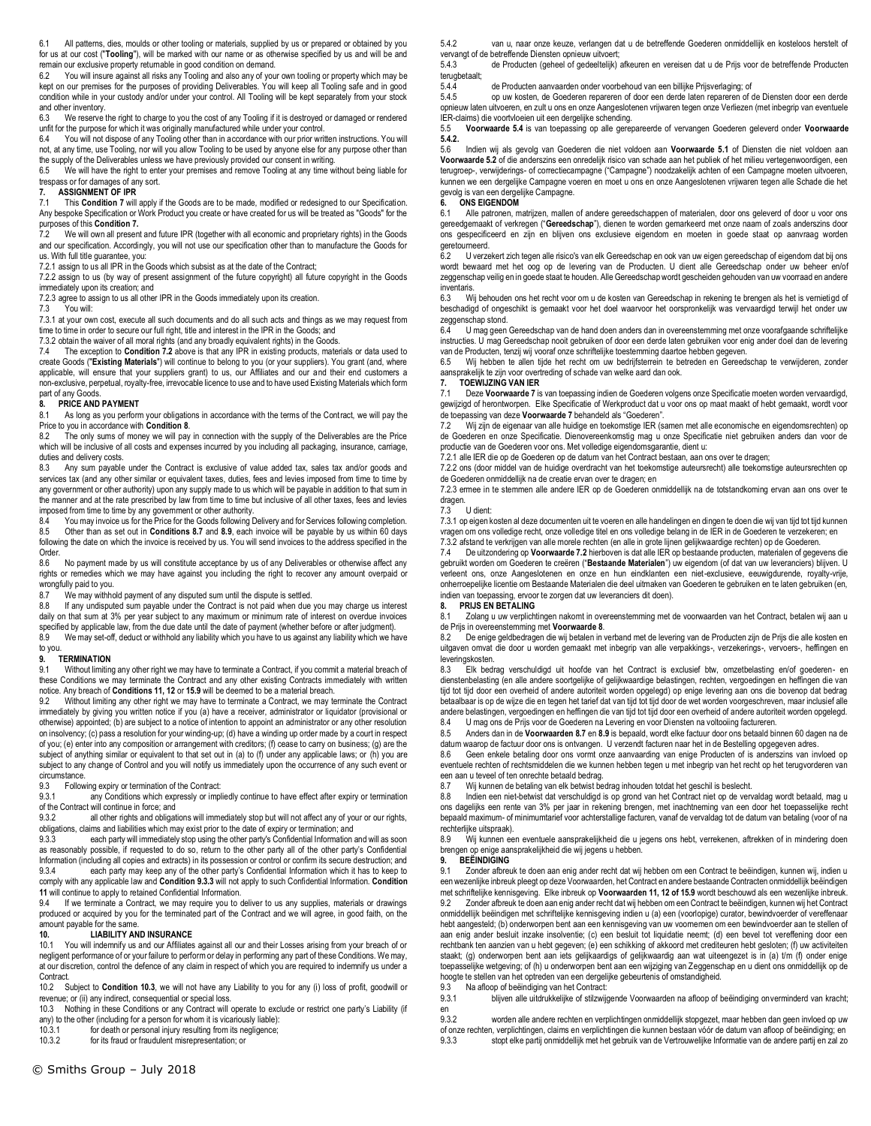6.1 All patterns, dies, moulds or other tooling or materials, supplied by us or prepared or obtained by you for us at our cost ("**Tooling**"), will be marked with our name or as otherwise specified by us and will be and remain our exclusive property returnable in good condition on demand.<br>6.2 You will insure against all risks any Tooling and also any of you

You will insure against all risks any Tooling and also any of your own tooling or property which may be kept on our premises for the purposes of providing Deliverables. You will keep all Tooling safe and in good condition while in your custody and/or under your control. All Tooling will be kept separately from your stock and other inventory.

6.3 We reserve the right to charge to you the cost of any Tooling if it is destroyed or damaged or rendered unfit for the purpose for which it was originally manufactured while under your control.<br>6.4 You will not dispose of any Tooling other than in accordance with our prior writ

6.4 You will not dispose of any Tooling other than in accordance with our prior written instructions. You will not, at any time, use Tooling, nor will you allow Tooling to be used by anyone else for any purpose other than the supply of the Deliverables unless we have previously provided our consent in writing.

6.5 We will have the right to enter your premises and remove Tooling at any time without being liable for trespass or for damages of any sort.

# **7. ASSIGNMENT OF IPR**<br>**7.1** This Condition 7 will

7.1 This **Condition 7** will apply if the Goods are to be made, modified or redesigned to our Specification. Any bespoke Specification or Work Product you create or have created for us will be treated as "Goods" for the purposes of this **Condition 7.**

7.2 We will own all present and future IPR (together with all economic and proprietary rights) in the Goods and our specification. Accordingly, you will not use our specification other than to manufacture the Goods for us. With full title guarantee, you:

7.2.1 assign to us all IPR in the Goods which subsist as at the date of the Contract;

7.2.2 assign to us (by way of present assignment of the future copyright) all future copyright in the Goods immediately upon its creation; and

7.2.3 agree to assign to us all other IPR in the Goods immediately upon its creation.

7.3 You will:

7.3.1 at your own cost, execute all such documents and do all such acts and things as we may request from time to time in order to secure our full right, title and interest in the IPR in the Goods; and

7.3.2 obtain the waiver of all moral rights (and any broadly equivalent rights) in the Goods.

7.4 The exception to **Condition 7.2** above is that any IPR in existing products, materials or data used to create Goods ("**Existing Materials**") will continue to belong to you (or your suppliers). You grant (and, where applicable, will ensure that your suppliers grant) to us, our Affiliates and our and their end customers a non-exclusive, perpetual, royalty-free, irrevocable licence to use and to have used Existing Materials which form part of any Goods<br>8. **PRICE AND** 

#### **8. PRICE AND PAYMENT**

8.1 As long as you perform your obligations in accordance with the terms of the Contract, we will pay the Price to you in accordance with **Condition 8**.

The only sums of money we will pay in connection with the supply of the Deliverables are the Price which will be inclusive of all costs and expenses incurred by you including all packaging, insurance, carriage, duties and delivery costs.

8.3 Any sum payable under the Contract is exclusive of value added tax, sales tax and/or goods and services tax (and any other similar or equivalent taxes, duties, fees and levies imposed from time to time by any government or other authority) upon any supply made to us which will be payable in addition to that sum in the manner and at the rate prescribed by law from time to time but inclusive of all other taxes, fees and levies imposed from time to time by any government or other authority.<br>8.4 You may invoice us for the Price for the Goods following I

8.4 You may invoice us for the Price for the Goods following Delivery and for Services following completion.<br>8.5 Other than as set out in Conditions 8.7 and 8.9, each invoice will be payable by us within 60 days 8.5 Other than as set out in **Conditions 8.7** and **8.9**, each invoice will be payable by us within 60 days following the date on which the invoice is received by us. You will send invoices to the address specified in the Order.<br>8.6

No payment made by us will constitute acceptance by us of any Deliverables or otherwise affect any rights or remedies which we may have against you including the right to recover any amount overpaid or wrongfully paid to you.

8.7 We may withhold payment of any disputed sum until the dispute is settled.<br>8.8 If any undisputed sum payable under the Contract is not paid when due

If any undisputed sum payable under the Contract is not paid when due you may charge us interest daily on that sum at 3% per year subject to any maximum or minimum rate of interest on overdue invoices specified by applicable law, from the due date until the date of payment (whether before or after judgment).

8.9 We may set-off, deduct or withhold any liability which you have to us against any liability which we have to you.

#### **9. TERMINATION**

9.1 Without limiting any other right we may have to terminate a Contract, if you commit a material breach of these Conditions we may terminate the Contract and any other existing Contracts immediately with written notice. Any breach of **Conditions 11, 12** or **15.9** will be deemed to be a material breach.<br>9.2 Without limiting any other right we may have to terminate a Contract, we may te

Without limiting any other right we may have to terminate a Contract, we may terminate the Contract immediately by giving you written notice if you (a) have a receiver, administrator or liquidator (provisional or otherwise) appointed; (b) are subject to a notice of intention to appoint an administrator or any other resolution on insolvency; (c) pass a resolution for your winding-up; (d) have a winding up order made by a court in respect of you; (e) enter into any composition or arrangement with creditors; (f) cease to carry on business; (g) are the subject of anything similar or equivalent to that set out in (a) to (f) under any applicable laws; or (h) you are subject to any change of Control and you will notify us immediately upon the occurrence of any such event or circumstance<br>9.3 Follow

9.3 Following expiry or termination of the Contract:<br>9.3.1 any Conditions which expressly or implement

any Conditions which expressly or impliedly continue to have effect after expiry or termination of the Contract will continue in force; and<br>9.3.2 all other rights and obligation

all other rights and obligations will immediately stop but will not affect any of your or our rights, obligations, claims and liabilities which may exist prior to the date of expiry or termination; and

9.3.3 each party will immediately stop using the other party's Confidential Information and will as soon as reasonably possible, if requested to do so, return to the other party all of the other party's Confidential Information (including all copies and extracts) in its possession or control or confirm its secure destruction; and<br>9.3.4 each party may keep any of the other party's Confidential Information which it has to keep to each party may keep any of the other party's Confidential Information which it has to keep to

comply with any applicable law and **Condition 9.3.3** will not apply to such Confidential Information. **Condition 11** will continue to apply to retained Confidential Information. 9.4 If we terminate a Contract, we may require you to deliver to us any supplies, materials or drawings

produced or acquired by you for the terminated part of the Contract and we will agree, in good faith, on the amount payable for the same.<br>10. LIABILITY AN

# **10. LIABILITY AND INSURANCE**<br>10.1 You will indemnify us and our Affiliates

You will indemnify us and our Affiliates against all our and their Losses arising from your breach of or negligent performance of or your failure to perform or delay in performing any part of these Conditions. We may, at our discretion, control the defence of any claim in respect of which you are required to indemnify us under a Contract.

10.2 Subject to **Condition 10.3**, we will not have any Liability to you for any (i) loss of profit, goodwill or revenue; or (ii) any indirect, consequential or special loss.

10.3 Nothing in these Conditions or any Contract will operate to exclude or restrict one party's Liability (if any) to the other (including for a person for whom it is vicariously liable):

10.3.1 for death or personal injury resulting from its negligence;<br>10.3.2 for its fraud or fraudulent misrepresentation: or

for its fraud or fraudulent misrepresentation; or

5.4.2 van u, naar onze keuze, verlangen dat u de betreffende Goederen onmiddellijk en kosteloos herstelt of vervangt of de betreffende Diensten opnieuw uitvoert;

5.4.3 de Producten (geheel of gedeeltelijk) afkeuren en vereisen dat u de Prijs voor de betreffende Producten terugbetaalt;<br>544

5.4.4 de Producten aanvaarden onder voorbehoud van een billijke Prijsverlaging; of

op uw kosten, de Goederen repareren of door een derde laten repareren of de Diensten door een derde opnieuw laten uitvoeren, en zult u ons en onze Aangeslotenen vrijwaren tegen onze Verliezen (met inbegrip van eventuele IER-claims) die voortvloeien uit een dergelijke schending.

5.5 **Voorwaarde 5.4** is van toepassing op alle gerepareerde of vervangen Goederen geleverd onder **Voorwaarde 5.4.2.**

5.6 Indien wij als gevolg van Goederen die niet voldoen aan **Voorwaarde 5.1** of Diensten die niet voldoen aan **Voorwaarde 5.2** of die anderszins een onredelijk risico van schade aan het publiek of het milieu vertegenwoordigen, een terugroep-, verwijderings- of correctiecampagne ("Campagne") noodzakelijk achten of een Campagne moeten uitvoeren, kunnen we een dergelijke Campagne voeren en moet u ons en onze Aangeslotenen vrijwaren tegen alle Schade die het gevolg is van een dergelijke Campagne.

## **6. ONS EIGENDOM**

6.1 Alle patronen, matrijzen, mallen of andere gereedschappen of materialen, door ons geleverd of door u voor ons gereedgemaakt of verkregen ("**Gereedschap**"), dienen te worden gemarkeerd met onze naam of zoals anderszins door ons gespecificeerd en zijn en blijven ons exclusieve eigendom en moeten in goede staat op aanvraag worden geretourneerd.<br>62 Uverze

U verzekert zich tegen alle risico's van elk Gereedschap en ook van uw eigen gereedschap of eigendom dat bij ons wordt bewaard met het oog op de levering van de Producten. U dient alle Gereedschap onder uw beheer en/of zeggenschap veilig en in goede staat te houden. Alle Gereedschap wordt gescheiden gehouden van uw voorraad en andere inventaris.

6.3 Wij behouden ons het recht voor om u de kosten van Gereedschap in rekening te brengen als het is vernietigd of beschadigd of ongeschikt is gemaakt voor het doel waarvoor het oorspronkelijk was vervaardigd terwijl het onder uw zeggenschap stond.

U mag geen Gereedschap van de hand doen anders dan in overeenstemming met onze voorafgaande schriftelijke instructies. U mag Gereedschap nooit gebruiken of door een derde laten gebruiken voor enig ander doel dan de levering

van de Producten, tenzij wij vooraf onze schriftelijke toestemming daartoe hebben gegeven. 6.5 Wij hebben te allen tijde het recht om uw bedrijfsterrein te betreden en Gereedschap te verwijderen, zonder aansprakelijk te zijn voor overtreding of schade van welke aard dan ook.

# **7. TOEWIJZING VAN IER**<br>**7.1** Deze Voorwaarde 7 is

Deze Voorwaarde 7 is van toepassing indien de Goederen volgens onze Specificatie moeten worden vervaardigd, gewijzigd of herontworpen. Elke Specificatie of Werkproduct dat u voor ons op maat maakt of hebt gemaakt, wordt voor de toepassing van deze **Voorwaarde 7** behandeld als "Goederen".

7.2 Wij zijn de eigenaar van alle huidige en toekomstige IER (samen met alle economische en eigendomsrechten) op de Goederen en onze Specificatie. Dienovereenkomstig mag u onze Specificatie niet gebruiken anders dan voor de productie van de Goederen voor ons. Met volledige eigendomsgarantie, dient u:

7.2.1 alle IER die op de Goederen op de datum van het Contract bestaan, aan ons over te dragen;

7.2.2 ons (door middel van de huidige overdracht van het toekomstige auteursrecht) alle toekomstige auteursrechten op de Goederen onmiddellijk na de creatie ervan over te dragen; en

7.2.3 ermee in te stemmen alle andere IER op de Goederen onmiddellijk na de totstandkoming ervan aan ons over te dragen.

### 7.3 U dient:

7.3.1 op eigen kosten al deze documenten uit te voeren en alle handelingen en dingen te doen die wij van tijd tot tijd kunnen vragen om ons volledige recht, onze volledige titel en ons volledige belang in de IER in de Goederen te verzekeren; en

7.3.2 afstand te verkrijgen van alle morele rechten (en alle in grote lijnen gelijkwaardige rechten) op de Goederen.<br>7.4 De uitzondering op **Voorwaarde 7.2** hierboven is dat alle IER op bestaande producten, materialen of gebruikt worden om Goederen te creëren ("**Bestaande Materialen**") uw eigendom (of dat van uw leveranciers) blijven. U verleent ons, onze Aangeslotenen en onze en hun eindklanten een niet-exclusieve, eeuwigdurende, royalty-vrije, onherroepelijke licentie om Bestaande Materialen die deel uitmaken van Goederen te gebruiken en te laten gebruiken (en, indien van toepassing, ervoor te zorgen dat uw leveranciers dit doen).<br>8. PRIJS EN BETALING

#### **8. PRIJS EN BETALING**

8.1 Zolang u uw verplichtingen nakomt in overeenstemming met de voorwaarden van het Contract, betalen wij aan u de Prijs in overeenstemming met **Voorwaarde 8**.

8.2 De enige geldbedragen die wij betalen in verband met de levering van de Producten zijn de Prijs die alle kosten en uitgaven omvat die door u worden gemaakt met inbegrip van alle verpakkings-, verzekerings-, vervoers-, heffingen en leveringskosten.

8.3 Elk bedrag verschuldigd uit hoofde van het Contract is exclusief btw, omzetbelasting en/of goederen- en dienstenbelasting (en alle andere soortgelijke of gelijkwaardige belastingen, rechten, vergoedingen en heffingen die van tijd tot tijd door een overheid of andere autoriteit worden opgelegd) op enige levering aan ons die bovenop dat bedrag betaalbaar is op de wijze die en tegen het tarief dat van tijd tot tijd door de wet worden voorgeschreven, maar inclusief alle andere belastingen, vergoedingen en heffingen die van tijd tot tijd door een overheid of andere autoriteit worden opgelegd. 8.4 U mag ons de Prijs voor de Goederen na Levering en voor Diensten na voltooiing factureren.

8.5 Anders dan in de **Voorwaarden 8.7** en **8.9** is bepaald, wordt elke factuur door ons betaald binnen 60 dagen na de datum waarop de factuur door ons is ontvangen. U verzendt facturen naar het in de Bestelling opgegeven adres.

8.6 Geen enkele betaling door ons vormt onze aanvaarding van enige Producten of is anderszins van invloed op eventuele rechten of rechtsmiddelen die we kunnen hebben tegen u met inbegrip van het recht op het terugvorderen van een aan u teveel of ten onrechte betaald bedrag.<br>8.7 Wijkunnen de betaling van elk betwist be

8.7 Wij kunnen de betaling van elk betwist bedrag inhouden totdat het geschil is beslecht.

8.8 Indien een niet-betwist dat verschuldigd is op grond van het Contract niet op de vervaldag wordt betaald, mag u ons dagelijks een rente van 3% per jaar in rekening brengen, met inachtneming van een door het toepasselijke recht bepaald maximum- of minimumtarief voor achterstallige facturen, vanaf de vervaldag tot de datum van betaling (voor of na

8.9 Wij kunnen een eventuele aansprakelijkheid die u jegens ons hebt, verrekenen, aftrekken of in mindering doen brengen op enige aansprakelijkheid die wij jegens u hebben.

# **9. BEËINDIGING**

Zonder afbreuk te doen aan enig ander recht dat wij hebben om een Contract te beëindigen, kunnen wij, indien u een wezenlijke inbreuk pleegt op deze Voorwaarden, het Contract en andere bestaande Contracten onmiddellijk beëindigen met schriftelijke kennisgeving. Elke inbreuk op **Voorwaarden 11, 12 of 15.9** wordt beschouwd als een wezenlijke inbreuk. 9.2 Zonder afbreuk te doen aan enig ander recht dat wij hebben om een Contract te beëindigen, kunnen wij het Contract onmiddellijk beëindigen met schriftelijke kennisgeving indien u (a) een (voorlopige) curator, bewindvoerder of vereffenaar hebt aangesteld; (b) onderworpen bent aan een kennisgeving van uw voornemen om een bewindvoerder aan te stellen of aan enig ander besluit inzake insolventie; (c) een besluit tot liquidatie neemt; (d) een bevel tot vereffening door een rechtbank ten aanzien van u hebt gegeven; (e) een schikking of akkoord met crediteuren hebt gesloten; (f) uw activiteiten staakt; (g) onderworpen bent aan iets gelijkaardigs of gelijkwaardig aan wat uiteengezet is in (a) t/m (f) onder enige toepasselijke wetgeving; of (h) u onderworpen bent aan een wijziging van Zeggenschap en u dient ons onmiddellijk op de hoogte te stellen van het optreden van een dergelijke gebeurtenis of omstandigheid.

9.3 Na afloop of beëindiging van het Contract:<br>9.3.1 blijven alle uitdrukkelijke of stilzwijg

9.3.1 blijven alle uitdrukkelijke of stilzwijgende Voorwaarden na afloop of beëindiging onverminderd van kracht; en

9.3.2 worden alle andere rechten en verplichtingen onmiddellijk stopgezet, maar hebben dan geen invloed op uw of onze rechten, verplichtingen, claims en verplichtingen die kunnen bestaan vóór de datum van afloop of beëindiging; en 9.3.3 stopt elke partii on middellijk met het gebruik van de Vertrouwelijke Informatie van de andere 9.3.3 stopt elke partij onmiddellijk met het gebruik van de Vertrouwelijke Informatie van de andere partij en zal zo

rechterlijke uitspraak).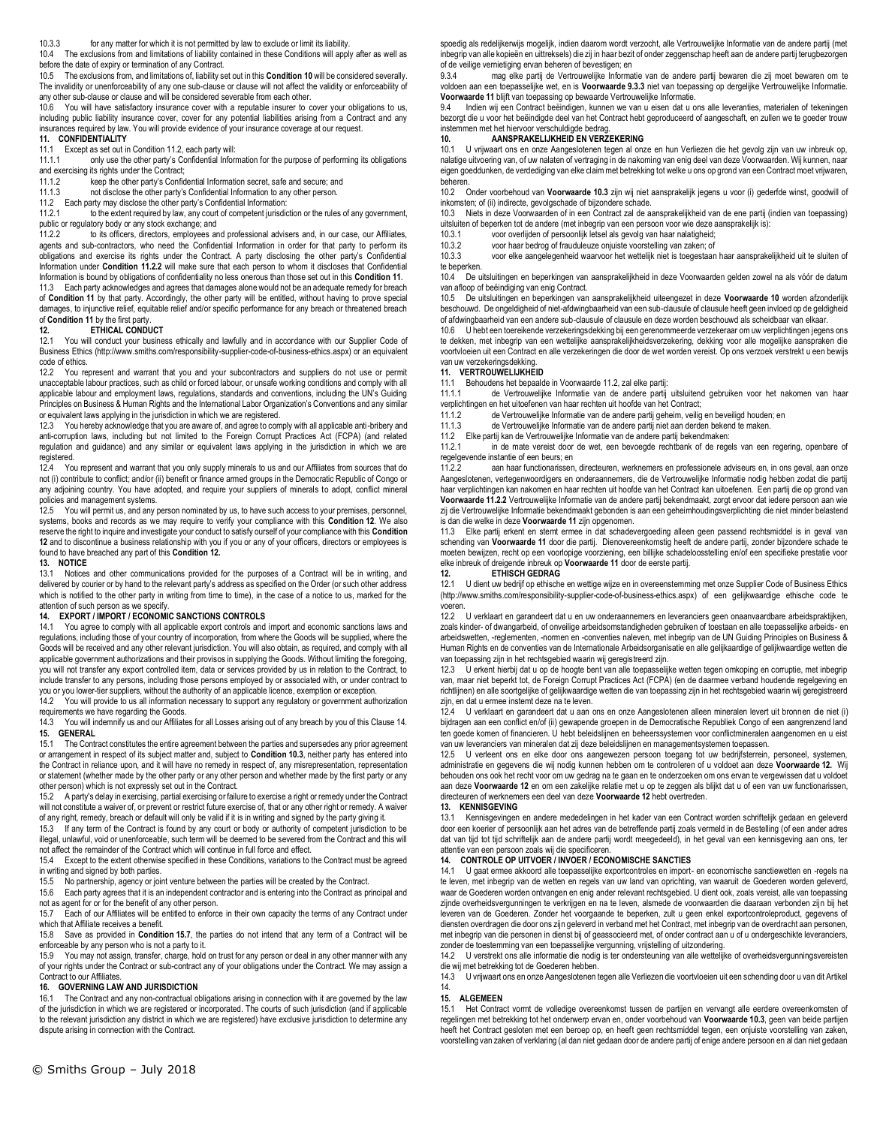10.3.3 for any matter for which it is not permitted by law to exclude or limit its liability.

10.4 The exclusions from and limitations of liability contained in these Conditions will apply after as well as before the date of expiry or termination of any Contract.

10.5 The exclusions from, and limitations of, liability set out in this **Condition 10** will be considered severally. The invalidity or unenforceability of any one sub-clause or clause will not affect the validity or enforceability of any other sub-clause or clause and will be considered severable from each other.

10.6 You will have satisfactory insurance cover with a reputable insurer to cover your obligations to us, including public liability insurance cover, cover for any potential liabilities arising from a Contract and any insurances required by law. You will provide evidence of your insurance coverage at our request.

# **11. CONFIDENTIALITY**<br>11.1 Except as set out in

Except as set out in Condition 11.2, each party will:

11.1.1 only use the other party's Confidential Information for the purpose of performing its obligations and exercising its rights under the Contract;

11.1.2 keep the other party's Confidential Information secret, safe and secure; and<br>11.1.3 not disclose the other party's Confidential Information to any other person.

11.1.3 not disclose the other party's Confidential Information to any other person.<br>11.2 Each party may disclose the other party's Confidential Information:

11.2 Each party may disclose the other party's Confidential Information:

to the extent required by law, any court of competent jurisdiction or the rules of any government, public or regulatory body or any stock exchange; and

11.2.2 to its officers, directors, employees and professional advisers and, in our case, our Affiliates, agents and sub-contractors, who need the Confidential Information in order for that party to perform its obligations and exercise its rights under the Contract. A party disclosing the other party's Confidential Information under **Condition 11.2.2** will make sure that each person to whom it discloses that Confidential Information is bound by obligations of confidentiality no less onerous than those set out in this **Condition 11**.

11.3 Each party acknowledges and agrees that damages alone would not be an adequate remedy for breach of **Condition 11** by that party. Accordingly, the other party will be entitled, without having to prove special damages, to injunctive relief, equitable relief and/or specific performance for any breach or threatened breach of **Condition 11** by the first party.

#### **12. ETHICAL CONDUCT**

12.1 You will conduct your business ethically and lawfully and in accordance with our Supplier Code of Business Ethics (http://www.smiths.com/responsibility-supplier-code-of-business-ethics.aspx) or an equivalent code of ethics.<br>12.2 You re

12.2 You represent and warrant that you and your subcontractors and suppliers do not use or permit unacceptable labour practices, such as child or forced labour, or unsafe working conditions and comply with all applicable labour and employment laws, regulations, standards and conventions, including the UN's Guiding Principles on Business & Human Rights and the International Labor Organization's Conventions and any similar or equivalent laws applying in the jurisdiction in which we are registered.

12.3 You hereby acknowledge that you are aware of, and agree to comply with all applicable anti-bribery and anti-corruption laws, including but not limited to the Foreign Corrupt Practices Act (FCPA) (and related regulation and guidance) and any similar or equivalent laws applying in the jurisdiction in which we are registered.

12.4 You represent and warrant that you only supply minerals to us and our Affiliates from sources that do not (i) contribute to conflict; and/or (ii) benefit or finance armed groups in the Democratic Republic of Congo or any adjoining country. You have adopted, and require your suppliers of minerals to adopt, conflict mineral policies and management systems.<br>12.5 You will permit us, and any

You will permit us, and any person nominated by us, to have such access to your premises, personnel, systems, books and records as we may require to verify your compliance with this **Condition 12**. We also reserve the right to inquire and investigate your conduct to satisfy ourself of your compliance with this **Condition 12** and to discontinue a business relationship with you if you or any of your officers, directors or employees is found to have breached any part of this **Condition 12.** 

#### **13. NOTICE**

13.1 Notices and other communications provided for the purposes of a Contract will be in writing, and delivered by courier or by hand to the relevant party's address as specified on the Order (or such other address which is notified to the other party in writing from time to time), in the case of a notice to us, marked for the attention of such person as we specify.

# **14. EXPORT / IMPORT / ECONOMIC SANCTIONS CONTROLS**

You agree to comply with all applicable export controls and import and economic sanctions laws and regulations, including those of your country of incorporation, from where the Goods will be supplied, where the Goods will be received and any other relevant jurisdiction. You will also obtain, as required, and comply with all applicable government authorizations and their provisos in supplying the Goods. Without limiting the foregoing, you will not transfer any export controlled item, data or services provided by us in relation to the Contract, to include transfer to any persons, including those persons employed by or associated with, or under contract to

you or you lower-tier suppliers, without the authority of an applicable licence, exemption or exception.<br>14.2 You will provide to us all information necessary to support any regulatory or government auth You will provide to us all information necessary to support any regulatory or government authorization requirements we have regarding the Goods.

14.3 You will indemnify us and our Affiliates for all Losses arising out of any breach by you of this Clause 14. **15. GENERAL**

15.1 The Contract constitutes the entire agreement between the parties and supersedes any prior agreement or arrangement in respect of its subject matter and, subject to **Condition 10.3**, neither party has entered into the Contract in reliance upon, and it will have no remedy in respect of, any misrepresentation, representation or statement (whether made by the other party or any other person and whether made by the first party or any other person) which is not expressly set out in the Contract.<br>15.2 A party's delay in exercising partial exercising or fail

15.2 A party's delay in exercising, partial exercising or failure to exercise a right or remedy under the Contract will not constitute a waiver of, or prevent or restrict future exercise of, that or any other right or remedy. A waiver of any right, remedy, breach or default will only be valid if it is in writing and signed by the party giving it.

15.3 If any term of the Contract is found by any court or body or authority of competent jurisdiction to be illegal, unlawful, void or unenforceable, such term will be deemed to be severed from the Contract and this will not affect the remainder of the Contract which will continue in full force and effect.

15.4 Except to the extent otherwise specified in these Conditions, variations to the Contract must be agreed in writing and signed by both parties.

15.5 No partnership, agency or joint venture between the parties will be created by the Contract.

15.6 Each party agrees that it is an independent contractor and is entering into the Contract as principal and not as agent for or for the benefit of any other person.

15.7 Each of our Affiliates will be entitled to enforce in their own capacity the terms of any Contract under which that Affiliate receives a benefit.

15.8 Save as provided in **Condition 15.7**, the parties do not intend that any term of a Contract will be enforceable by any person who is not a party to it.

15.9 You may not assign, transfer, charge, hold on trust for any person or deal in any other manner with any of your rights under the Contract or sub-contract any of your obligations under the Contract. We may assign a Contract to our Affiliates.

# **16. GOVERNING LAW AND JURISDICTION**

The Contract and any non-contractual obligations arising in connection with it are governed by the law of the jurisdiction in which we are registered or incorporated. The courts of such jurisdiction (and if applicable to the relevant jurisdiction any district in which we are registered) have exclusive jurisdiction to determine any dispute arising in connection with the Contract.

spoedig als redelijkerwijs mogelijk, indien daarom wordt verzocht, alle Vertrouwelijke Informatie van de andere partij (met inbegrip van alle kopieën en uittreksels) die zij in haar bezit of onder zeggenschap heeft aan de andere partij terugbezorgen of de veilige vernietiging ervan beheren of bevestigen; en<br>9.3.4 mag elke partij de Vertrouwelijke Informatie

mag elke partij de Vertrouwelijke Informatie van de andere partij bewaren die zij moet bewaren om te voldoen aan een toepasselijke wet, en is **Voorwaarde 9.3.3** niet van toepassing op dergelijke Vertrouwelijke Informatie. **Voorwaarde 11** blijft van toepassing op bewaarde Vertrouwelijke Informatie.

9.4 Indien wij een Contract beëindigen, kunnen we van u eisen dat u ons alle leveranties, materialen of tekeningen bezorgt die u voor het beëindigde deel van het Contract hebt geproduceerd of aangeschaft, en zullen we te goeder trouw instemmen met het hiervoor verschuldigde bedrag.<br>10. **AANSPRAKELIJKHEID EN VERZ** 

# **10. AANSPRAKELIJKHEID EN VERZEKERING**<br>10.1 U vrijwaart ons en onze Aangeslotenen tegen al onz

10.1 U vrijwaart ons en onze Aangeslotenen tegen al onze en hun Verliezen die het gevolg zijn van uw inbreuk op, nalatige uitvoering van, of uw nalaten of vertraging in de nakoming van enig deel van deze Voorwaarden. Wij kunnen, naar eigen goeddunken, de verdediging van elke claim met betrekking tot welke u ons op grond van een Contract moet vrijwaren, beheren.<br>10.2 C

10.2 Onder voorbehoud van **Voorwaarde 10.3** zijn wij niet aansprakelijk jegens u voor (i) gederfde winst, goodwill of inkomsten; of (ii) indirecte, gevolgschade of bijzondere schade.

10.3 Niets in deze Voorwaarden of in een Contract zal de aansprakelijkheid van de ene partij (indien van toepassing) uitsluiten of beperken tot de andere (met inbegrip van een persoon voor wie deze aansprakelijk is):

10.3.1 voor overlijden of persoonlijk letsel als gevolg van haar nalatigheid;

10.3.2 voor haar bedrog of frauduleuze onjuiste voorstelling van zaken; of 10.3.3 voor elke aangelegenheid waarvoor het wettelijk niet is toegestaan

10.3.3 voor elke aangelegenheid waarvoor het wettelijk niet is toegestaan haar aansprakelijkheid uit te sluiten of te beperken.

10.4 De uitsluitingen en beperkingen van aansprakelijkheid in deze Voorwaarden gelden zowel na als vóór de datum van afloop of beëindiging van enig Contract.

10.5 De uitsluitingen en beperkingen van aansprakelijkheid uiteengezet in deze **Voorwaarde 10** worden afzonderlijk beschouwd. De ongeldigheid of niet-afdwingbaarheid van een sub-clausule of clausule heeft geen invloed op de geldigheid of afdwingbaarheid van een andere sub-clausule of clausule en deze worden beschouwd als scheidbaar van elkaar.

10.6 U hebt een toereikende verzekeringsdekking bij een gerenommeerde verzekeraar om uw verplichtingen jegens ons te dekken, met inbegrip van een wettelijke aansprakelijkheidsverzekering, dekking voor alle mogelijke aanspraken die voortvloeien uit een Contract en alle verzekeringen die door de wet worden vereist. Op ons verzoek verstrekt u een bewijs van uw verzekeringsdekking.

# **11. VERTROUWELIJKHEID**

Behoudens het bepaalde in Voorwaarde 11.2, zal elke partij:

11.1.1 de Vertrouwelijke Informatie van de andere partij uitsluitend gebruiken voor het nakomen van haar verplichtingen en het uitoefenen van haar rechten uit hoofde van het Contract;

11.1.2 de Vertrouwelijke Informatie van de andere partij geheim, veilig en beveiligd houden; en

11.1.3 de Vertrouwelijke Informatie van de andere partij niet aan derden bekend te maken.

11.2 Elke partij kan de Vertrouwelijke Informatie van de andere partij bekendmaken:

in de mate vereist door de wet, een bevoegde rechtbank of de regels van een regering, openbare of regelgevende instantie of een beurs; en

aan haar functionarissen, directeuren, werknemers en professionele adviseurs en, in ons geval, aan onze Aangeslotenen, vertegenwoordigers en onderaannemers, die de Vertrouwelijke Informatie nodig hebben zodat die partij haar verplichtingen kan nakomen en haar rechten uit hoofde van het Contract kan uitoefenen. Een partij die op grond van **Voorwaarde 11.2.2** Vertrouwelijke Informatie van de andere partij bekendmaakt, zorgt ervoor dat iedere persoon aan wie zij die Vertrouwelijke Informatie bekendmaakt gebonden is aan een geheimhoudingsverplichting die niet minder belastend is dan die welke in deze **Voorwaarde 11** zijn opgenomen.

11.3 Elke partij erkent en stemt ermee in dat schadevergoeding alleen geen passend rechtsmiddel is in geval van schending van **Voorwaarde 11** door die partij. Dienovereenkomstig heeft de andere partij, zonder bijzondere schade te<br>moeten bewijzen, recht op een voorlopige voorziening, een billijke schadeloosstelling en/of een specifie elke inbreuk of dreigende inbreuk op **Voorwaarde 11** door de eerste partij.

# **12. ETHISCH GEDRAG**<br>12.1 U dient uw bedrijf on ethische

12.1 U dient uw bedrijf op ethische en wettige wijze en in overeenstemming met onze Supplier Code of Business Ethics (http://www.smiths.com/responsibility-supplier-code-of-business-ethics.aspx) of een gelijkwaardige ethische code te voeren.

12.2 U verklaart en garandeert dat u en uw onderaannemers en leveranciers geen onaanvaardbare arbeidspraktijken, zoals kinder- of dwangarbeid, of onveilige arbeidsomstandigheden gebruiken of toestaan en alle toepasselijke arbeids- en arbeidswetten, -reglementen, -normen en -conventies naleven, met inbegrip van de UN Guiding Principles on Business & Human Rights en de conventies van de Internationale Arbeidsorganisatie en alle gelijkaardige of gelijkwaardige wetten die van toepassing zijn in het rechtsgebied waarin wij geregistreerd zijn.

12.3 U erkent hierbij dat u op de hoogte bent van alle toepasselijke wetten tegen omkoping en corruptie, met inbegrip van, maar niet beperkt tot, de Foreign Corrupt Practices Act (FCPA) (en de daarmee verband houdende regelgeving en richtlijnen) en alle soortgelijke of gelijkwaardige wetten die van toepassing zijn in het rechtsgebied waarin wij geregistreerd zijn, en dat u ermee instemt deze na te leven.

12.4 U verklaart en garandeert dat u aan ons en onze Aangeslotenen alleen mineralen levert uit bronnen die niet (i) bijdragen aan een conflict en/of (ii) gewapende groepen in de Democratische Republiek Congo of een aangrenzend land ten goede komen of financieren. U hebt beleidslijnen en beheerssystemen voor conflictmineralen aangenomen en u eist van uw leveranciers van mineralen dat zij deze beleidslijnen en managementsystemen toepassen.

12.5 U verleent ons en elke door ons aangewezen persoon toegang tot uw bedrijfsterrein, personeel, systemen, administratie en gegevens die wij nodig kunnen hebben om te controleren of u voldoet aan deze **Voorwaarde 12.** Wij behouden ons ook het recht voor om uw gedrag na te gaan en te onderzoeken om ons ervan te vergewissen dat u voldoet aan deze **Voorwaarde 12** en om een zakelijke relatie met u op te zeggen als blijkt dat u of een van uw functionarissen, directeuren of werknemers een deel van deze **Voorwaarde 12** hebt overtreden.

# **13. KENNISGEVING**

13.1 Kennisgevingen en andere mededelingen in het kader van een Contract worden schriftelijk gedaan en geleverd door een koerier of persoonlijk aan het adres van de betreffende partij zoals vermeld in de Bestelling (of een ander adres dat van tijd tot tijd schriftelijk aan de andere partij wordt meegedeeld), in het geval van een kennisgeving aan ons, ter attentie van een persoon zoals wij die specificeren.

### **14. CONTROLE OP UITVOER / INVOER / ECONOMISCHE SANCTIES**

14.1 U gaat ermee akkoord alle toepasselijke exportcontroles en import- en economische sanctiewetten en -regels na te leven, met inbegrip van de wetten en regels van uw land van oprichting, van waaruit de Goederen worden geleverd, waar de Goederen worden ontvangen en enig ander relevant rechtsgebied. U dient ook, zoals vereist, alle van toepassing zijnde overheidsvergunningen te verkrijgen en na te leven, alsmede de voorwaarden die daaraan verbonden zijn bij het leveren van de Goederen. Zonder het voorgaande te beperken, zult u geen enkel exportcontroleproduct, gegevens of diensten overdragen die door ons zijn geleverd in verband met het Contract, met inbegrip van de overdracht aan personen, met inbegrip van die personen in dienst bij of geassocieerd met, of onder contract aan u of u ondergeschikte leveranciers,

zonder de toestemming van een toepasselijke vergunning, vrijstelling of uitzondering.<br>14.2 U verstrekt ons alle informatie die nodig is ter ondersteuning van alle wettelijke of overheidsvergunningsvereisten die wij met betrekking tot de Goederen hebben.

14.3 U vrijwaart ons en onze Aangeslotenen tegen alle Verliezen die voortvloeien uit een schending door u van dit Artikel 14.

#### **15. ALGEMEEN**

15.1 Het Contract vormt de volledige overeenkomst tussen de partijen en vervangt alle eerdere overeenkomsten of regelingen met betrekking tot het onderwerp ervan en, onder voorbehoud van **Voorwaarde 10.3**, geen van beide partijen heeft het Contract gesloten met een beroep op, en heeft geen rechtsmiddel tegen, een onjuiste voorstelling van zaken, voorstelling van zaken of verklaring (al dan niet gedaan door de andere partij of enige andere persoon en al dan niet gedaan